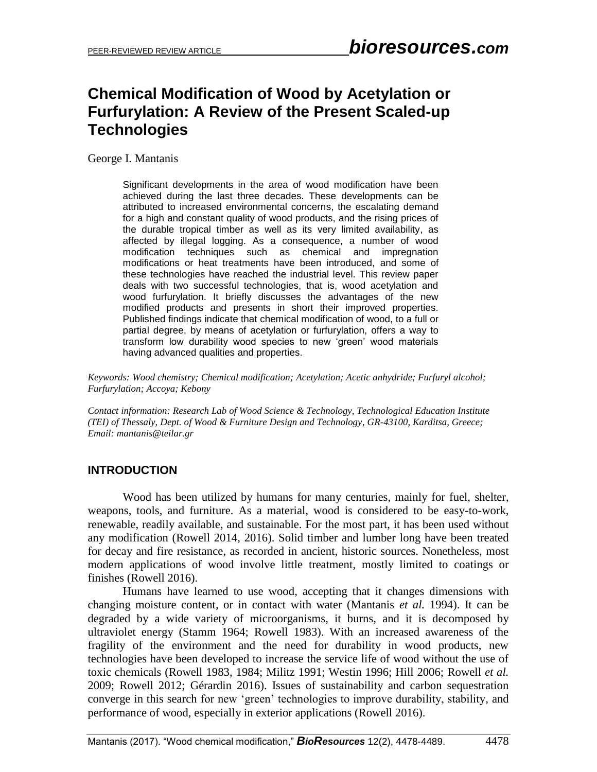# **Chemical Modification of Wood by Acetylation or Furfurylation: A Review of the Present Scaled-up Technologies**

George I. Mantanis

Significant developments in the area of wood modification have been achieved during the last three decades. These developments can be attributed to increased environmental concerns, the escalating demand for a high and constant quality of wood products, and the rising prices of the durable tropical timber as well as its very limited availability, as affected by illegal logging. As a consequence, a number of wood modification techniques such as chemical and impregnation modifications or heat treatments have been introduced, and some of these technologies have reached the industrial level. This review paper deals with two successful technologies, that is, wood acetylation and wood furfurylation. It briefly discusses the advantages of the new modified products and presents in short their improved properties. Published findings indicate that chemical modification of wood, to a full or partial degree, by means of acetylation or furfurylation, offers a way to transform low durability wood species to new 'green' wood materials having advanced qualities and properties.

*Keywords: Wood chemistry; Chemical modification; Acetylation; Acetic anhydride; Furfuryl alcohol; Furfurylation; Accoya; Kebony*

*Contact information: Research Lab of Wood Science & Technology, Technological Education Institute (TEI) of Thessaly, Dept. of Wood & Furniture Design and Technology, GR-43100, Karditsa, Greece; Email: mantanis@teilar.gr*

# **INTRODUCTION**

Wood has been utilized by humans for many centuries, mainly for fuel, shelter, weapons, tools, and furniture. As a material, wood is considered to be easy-to-work, renewable, readily available, and sustainable. For the most part, it has been used without any modification (Rowell 2014, 2016). Solid timber and lumber long have been treated for decay and fire resistance, as recorded in ancient, historic sources. Nonetheless, most modern applications of wood involve little treatment, mostly limited to coatings or finishes (Rowell 2016).

Humans have learned to use wood, accepting that it changes dimensions with changing moisture content, or in contact with water (Mantanis *et al.* 1994). It can be degraded by a wide variety of microorganisms, it burns, and it is decomposed by ultraviolet energy (Stamm 1964; Rowell 1983). With an increased awareness of the fragility of the environment and the need for durability in wood products, new technologies have been developed to increase the service life of wood without the use of toxic chemicals (Rowell 1983, 1984; Militz 1991; Westin 1996; Hill 2006; Rowell *et al.* 2009; Rowell 2012; Gérardin 2016). Issues of sustainability and carbon sequestration converge in this search for new 'green' technologies to improve durability, stability, and performance of wood, especially in exterior applications (Rowell 2016).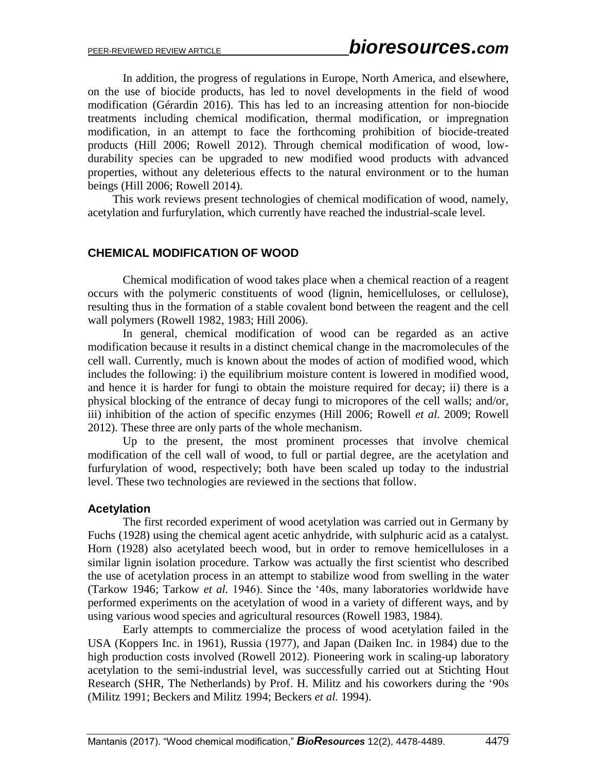In addition, the progress of regulations in Europe, North America, and elsewhere, on the use of biocide products, has led to novel developments in the field of wood modification (Gérardin 2016). This has led to an increasing attention for non-biocide treatments including chemical modification, thermal modification, or impregnation modification, in an attempt to face the forthcoming prohibition of biocide-treated products (Hill 2006; Rowell 2012). Through chemical modification of wood, lowdurability species can be upgraded to new modified wood products with advanced properties, without any deleterious effects to the natural environment or to the human beings (Hill 2006; Rowell 2014).

This work reviews present technologies of chemical modification of wood, namely, acetylation and furfurylation, which currently have reached the industrial-scale level.

### **CHEMICAL MODIFICATION OF WOOD**

Chemical modification of wood takes place when a chemical reaction of a reagent occurs with the polymeric constituents of wood (lignin, hemicelluloses, or cellulose), resulting thus in the formation of a stable covalent bond between the reagent and the cell wall polymers (Rowell 1982, 1983; Hill 2006).

In general, chemical modification of wood can be regarded as an active modification because it results in a distinct chemical change in the macromolecules of the cell wall. Currently, much is known about the modes of action of modified wood, which includes the following: i) the equilibrium moisture content is lowered in modified wood, and hence it is harder for fungi to obtain the moisture required for decay; ii) there is a physical blocking of the entrance of decay fungi to micropores of the cell walls; and/or, iii) inhibition of the action of specific enzymes (Hill 2006; Rowell *et al.* 2009; Rowell 2012). These three are only parts of the whole mechanism.

Up to the present, the most prominent processes that involve chemical modification of the cell wall of wood, to full or partial degree, are the acetylation and furfurylation of wood, respectively; both have been scaled up today to the industrial level. These two technologies are reviewed in the sections that follow.

### **Acetylation**

The first recorded experiment of wood acetylation was carried out in Germany by Fuchs (1928) using the chemical agent acetic anhydride, with sulphuric acid as a catalyst. Horn (1928) also acetylated beech wood, but in order to remove hemicelluloses in a similar lignin isolation procedure. Tarkow was actually the first scientist who described the use of acetylation process in an attempt to stabilize wood from swelling in the water (Tarkow 1946; Tarkow *et al.* 1946). Since the '40s, many laboratories worldwide have performed experiments on the acetylation of wood in a variety of different ways, and by using various wood species and agricultural resources (Rowell 1983, 1984).

Early attempts to commercialize the process of wood acetylation failed in the USA (Koppers Inc. in 1961), Russia (1977), and Japan (Daiken Inc. in 1984) due to the high production costs involved (Rowell 2012). Pioneering work in scaling-up laboratory acetylation to the semi-industrial level, was successfully carried out at Stichting Hout Research (SHR, The Netherlands) by Prof. H. Militz and his coworkers during the '90s (Militz 1991; Beckers and Militz 1994; Beckers *et al.* 1994).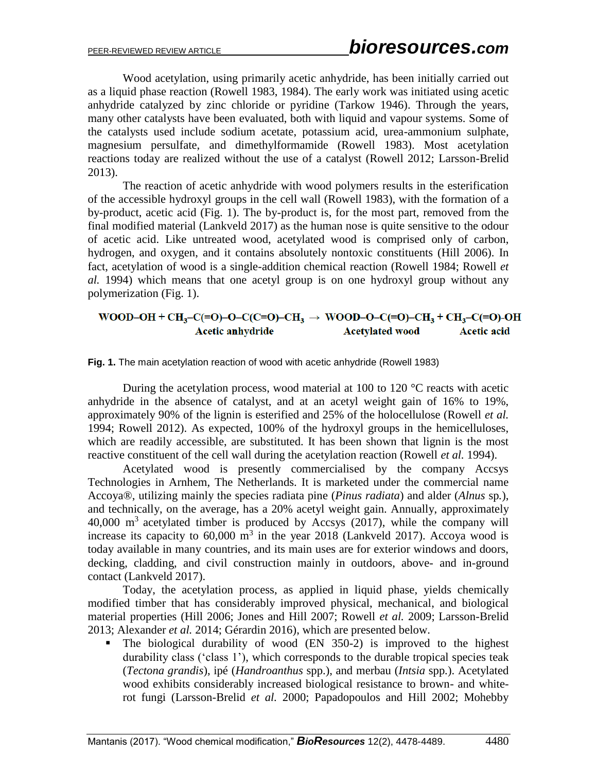Wood acetylation, using primarily acetic anhydride, has been initially carried out as a liquid phase reaction (Rowell 1983, 1984). The early work was initiated using acetic anhydride catalyzed by zinc chloride or pyridine (Tarkow 1946). Through the years, many other catalysts have been evaluated, both with liquid and vapour systems. Some of the catalysts used include sodium acetate, potassium acid, urea-ammonium sulphate, magnesium persulfate, and dimethylformamide (Rowell 1983). Most acetylation reactions today are realized without the use of a catalyst (Rowell 2012; Larsson-Brelid 2013).

The reaction of acetic anhydride with wood polymers results in the esterification of the accessible hydroxyl groups in the cell wall (Rowell 1983), with the formation of a by-product, acetic acid (Fig. 1). The by-product is, for the most part, removed from the final modified material (Lankveld 2017) as the human nose is quite sensitive to the odour of acetic acid. Like untreated wood, acetylated wood is comprised only of carbon, hydrogen, and oxygen, and it contains absolutely nontoxic constituents (Hill 2006). In fact, acetylation of wood is a single-addition chemical reaction (Rowell 1984; Rowell *et al.* 1994) which means that one acetyl group is on one hydroxyl group without any polymerization (Fig. 1).

#### WOOD-OH + CH<sub>3</sub>-C(=O)-O-C(C=O)-CH<sub>3</sub>  $\rightarrow$  WOOD-O-C(=O)-CH<sub>3</sub> + CH<sub>3</sub>-C(=O)-OH **Acetic anhydride Acetylated wood Acetic acid**

**Fig. 1.** The main acetylation reaction of wood with acetic anhydride (Rowell 1983)

During the acetylation process, wood material at 100 to 120 °C reacts with acetic anhydride in the absence of catalyst, and at an acetyl weight gain of 16% to 19%, approximately 90% of the lignin is esterified and 25% of the holocellulose (Rowell *et al.* 1994; Rowell 2012). As expected, 100% of the hydroxyl groups in the hemicelluloses, which are readily accessible, are substituted. It has been shown that lignin is the most reactive constituent of the cell wall during the acetylation reaction (Rowell *et al.* 1994).

Acetylated wood is presently commercialised by the company Accsys Technologies in Arnhem, The Netherlands. It is marketed under the commercial name Accoya®, utilizing mainly the species radiata pine (*Pinus radiata*) and alder (*Alnus* sp*.*), and technically, on the average, has a 20% acetyl weight gain. Annually, approximately  $40,000$  m<sup>3</sup> acetylated timber is produced by Accsys (2017), while the company will increase its capacity to  $60,000$  m<sup>3</sup> in the year 2018 (Lankveld 2017). Accoya wood is today available in many countries, and its main uses are for exterior windows and doors, decking, cladding, and civil construction mainly in outdoors, above- and in-ground contact (Lankveld 2017).

Today, the acetylation process, as applied in liquid phase, yields chemically modified timber that has considerably improved physical, mechanical, and biological material properties (Hill 2006; Jones and Hill 2007; Rowell *et al.* 2009; Larsson-Brelid 2013; Alexander *et al.* 2014; Gérardin 2016), which are presented below.

 The biological durability of wood (EN 350-2) is improved to the highest durability class ('class 1'), which corresponds to the durable tropical species teak (*Tectona grandis*), ipé (*Handroanthus* spp.), and merbau (*Intsia* spp*.*). Acetylated wood exhibits considerably increased biological resistance to brown- and whiterot fungi (Larsson-Brelid *et al.* 2000; Papadopoulos and Hill 2002; Mohebby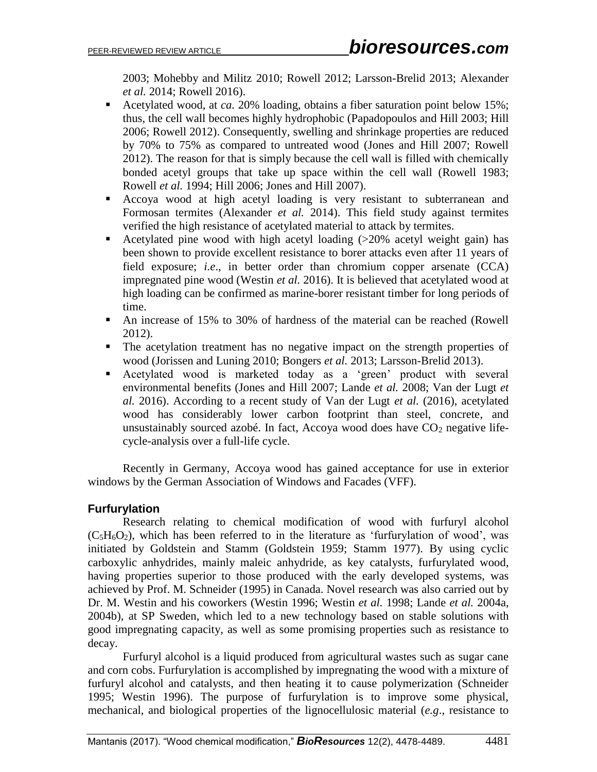2003; Mohebby and Militz 2010; Rowell 2012; Larsson-Brelid 2013; Alexander *et al.* 2014; Rowell 2016).

- Acetylated wood, at *ca.* 20% loading, obtains a fiber saturation point below 15%; thus, the cell wall becomes highly hydrophobic (Papadopoulos and Hill 2003; Hill 2006; Rowell 2012). Consequently, swelling and shrinkage properties are reduced by 70% to 75% as compared to untreated wood (Jones and Hill 2007; Rowell 2012). The reason for that is simply because the cell wall is filled with chemically bonded acetyl groups that take up space within the cell wall (Rowell 1983; Rowell *et al.* 1994; Hill 2006; Jones and Hill 2007).
- Accoya wood at high acetyl loading is very resistant to subterranean and Formosan termites (Alexander *et al.* 2014). This field study against termites verified the high resistance of acetylated material to attack by termites.
- Acetylated pine wood with high acetyl loading  $(>20\%$  acetyl weight gain) has been shown to provide excellent resistance to borer attacks even after 11 years of field exposure; *i.e*., in better order than chromium copper arsenate (CCA) impregnated pine wood (Westin *et al.* 2016). It is believed that acetylated wood at high loading can be confirmed as marine-borer resistant timber for long periods of time.
- An increase of 15% to 30% of hardness of the material can be reached (Rowell 2012).
- The acetylation treatment has no negative impact on the strength properties of wood (Jorissen and Luning 2010; Bongers *et al.* 2013; Larsson-Brelid 2013).
- Acetylated wood is marketed today as a 'green' product with several environmental benefits (Jones and Hill 2007; Lande *et al.* 2008; Van der Lugt *et al.* 2016). According to a recent study of Van der Lugt *et al.* (2016), acetylated wood has considerably lower carbon footprint than steel, concrete, and unsustainably sourced azobé. In fact, Accoya wood does have  $CO<sub>2</sub>$  negative lifecycle-analysis over a full-life cycle.

Recently in Germany, Accoya wood has gained acceptance for use in exterior windows by the German Association of Windows and Facades (VFF).

# **Furfurylation**

Research relating to chemical modification of wood with furfuryl alcohol  $(C_5H_6O_2)$ , which has been referred to in the literature as 'furfurylation of wood', was initiated by Goldstein and Stamm (Goldstein 1959; Stamm 1977). By using cyclic carboxylic anhydrides, mainly maleic anhydride, as key catalysts, furfurylated wood, having properties superior to those produced with the early developed systems, was achieved by Prof. M. Schneider (1995) in Canada. Novel research was also carried out by Dr. M. Westin and his coworkers (Westin 1996; Westin *et al.* 1998; Lande *et al.* 2004a, 2004b), at SP Sweden, which led to a new technology based on stable solutions with good impregnating capacity, as well as some promising properties such as resistance to decay.

Furfuryl alcohol is a liquid produced from agricultural wastes such as sugar cane and corn cobs. Furfurylation is accomplished by impregnating the wood with a mixture of furfuryl alcohol and catalysts, and then heating it to cause polymerization (Schneider 1995; Westin 1996). The purpose of furfurylation is to improve some physical, mechanical, and biological properties of the lignocellulosic material (*e.g*., resistance to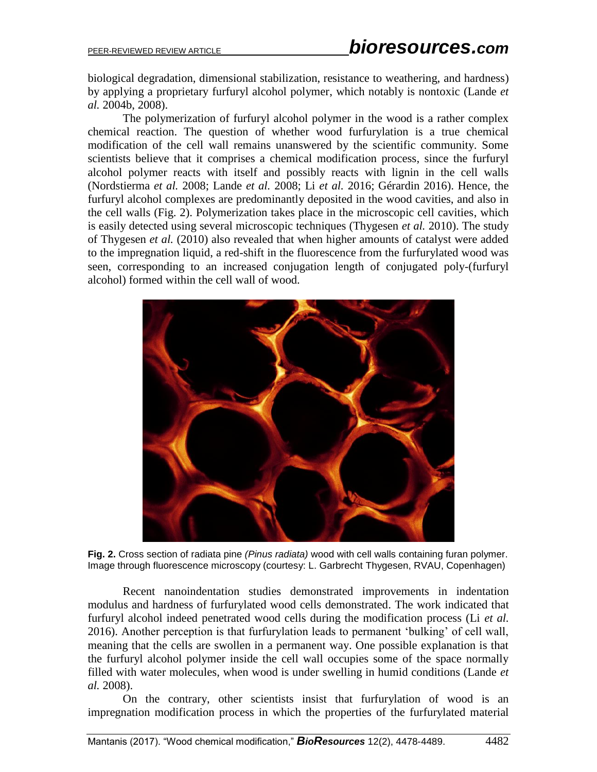biological degradation, dimensional stabilization, resistance to weathering, and hardness) by applying a proprietary furfuryl alcohol polymer, which notably is nontoxic (Lande *et al.* 2004b, 2008).

The polymerization of furfuryl alcohol polymer in the wood is a rather complex chemical reaction. The question of whether wood furfurylation is a true chemical modification of the cell wall remains unanswered by the scientific community. Some scientists believe that it comprises a chemical modification process, since the furfuryl alcohol polymer reacts with itself and possibly reacts with lignin in the cell walls (Nordstierma *et al.* 2008; Lande *et al.* 2008; Li *et al.* 2016; Gérardin 2016). Hence, the furfuryl alcohol complexes are predominantly deposited in the wood cavities, and also in the cell walls (Fig. 2). Polymerization takes place in the microscopic cell cavities, which is easily detected using several microscopic techniques (Thygesen *et al.* 2010). The study of Thygesen *et al.* (2010) also revealed that when higher amounts of catalyst were added to the impregnation liquid, a red-shift in the fluorescence from the furfurylated wood was seen, corresponding to an increased conjugation length of conjugated poly-(furfuryl alcohol) formed within the cell wall of wood.



**Fig. 2.** Cross section of radiata pine *(Pinus radiata)* wood with cell walls containing furan polymer. Image through fluorescence microscopy (courtesy: L. Garbrecht Thygesen, RVAU, Copenhagen)

Recent nanoindentation studies demonstrated improvements in indentation modulus and hardness of furfurylated wood cells demonstrated. The work indicated that furfuryl alcohol indeed penetrated wood cells during the modification process (Li *et al.* 2016). Another perception is that furfurylation leads to permanent 'bulking' of cell wall, meaning that the cells are swollen in a permanent way. One possible explanation is that the furfuryl alcohol polymer inside the cell wall occupies some of the space normally filled with water molecules, when wood is under swelling in humid conditions (Lande *et al.* 2008).

On the contrary, other scientists insist that furfurylation of wood is an impregnation modification process in which the properties of the furfurylated material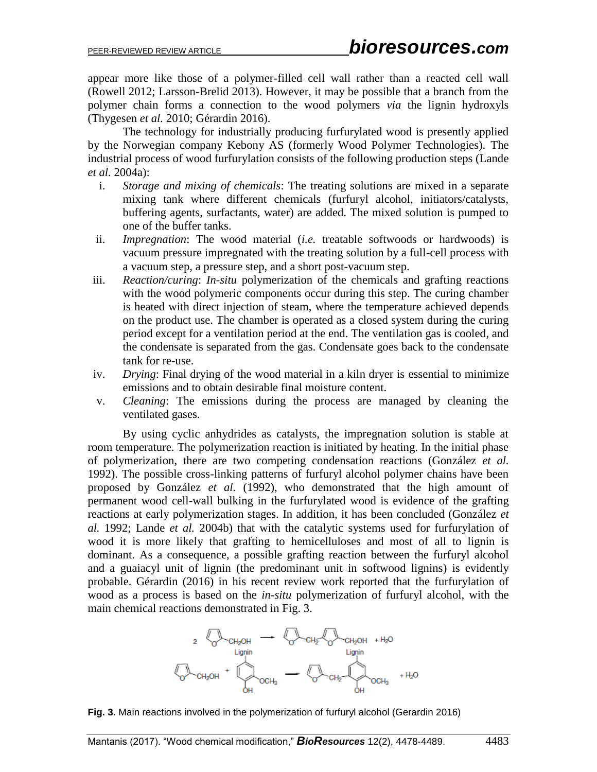appear more like those of a polymer-filled cell wall rather than a reacted cell wall (Rowell 2012; Larsson-Brelid 2013). However, it may be possible that a branch from the polymer chain forms a connection to the wood polymers *via* the lignin hydroxyls (Thygesen *et al.* 2010; Gérardin 2016).

The technology for industrially producing furfurylated wood is presently applied by the Norwegian company Kebony AS (formerly Wood Polymer Technologies). The industrial process of wood furfurylation consists of the following production steps (Lande *et al.* 2004a):

- i. *Storage and mixing of chemicals*: The treating solutions are mixed in a separate mixing tank where different chemicals (furfuryl alcohol, initiators/catalysts, buffering agents, surfactants, water) are added. The mixed solution is pumped to one of the buffer tanks.
- ii. *Impregnation*: The wood material (*i.e.* treatable softwoods or hardwoods) is vacuum pressure impregnated with the treating solution by a full-cell process with a vacuum step, a pressure step, and a short post-vacuum step.
- iii. *Reaction/curing*: *In-situ* polymerization of the chemicals and grafting reactions with the wood polymeric components occur during this step. The curing chamber is heated with direct injection of steam, where the temperature achieved depends on the product use. The chamber is operated as a closed system during the curing period except for a ventilation period at the end. The ventilation gas is cooled, and the condensate is separated from the gas. Condensate goes back to the condensate tank for re-use.
- iv. *Drying*: Final drying of the wood material in a kiln dryer is essential to minimize emissions and to obtain desirable final moisture content.
- v. *Cleaning*: The emissions during the process are managed by cleaning the ventilated gases.

By using cyclic anhydrides as catalysts, the impregnation solution is stable at room temperature. The polymerization reaction is initiated by heating. In the initial phase of polymerization, there are two competing condensation reactions (González *et al.* 1992). The possible cross-linking patterns of furfuryl alcohol polymer chains have been proposed by González *et al.* (1992), who demonstrated that the high amount of permanent wood cell-wall bulking in the furfurylated wood is evidence of the grafting reactions at early polymerization stages. In addition, it has been concluded (González *et al.* 1992; Lande *et al.* 2004b) that with the catalytic systems used for furfurylation of wood it is more likely that grafting to hemicelluloses and most of all to lignin is dominant. As a consequence, a possible grafting reaction between the furfuryl alcohol and a guaiacyl unit of lignin (the predominant unit in softwood lignins) is evidently probable. Gérardin (2016) in his recent review work reported that the furfurylation of wood as a process is based on the *in-situ* polymerization of furfuryl alcohol, with the main chemical reactions demonstrated in Fig. 3.



**Fig. 3.** Main reactions involved in the polymerization of furfuryl alcohol (Gerardin 2016)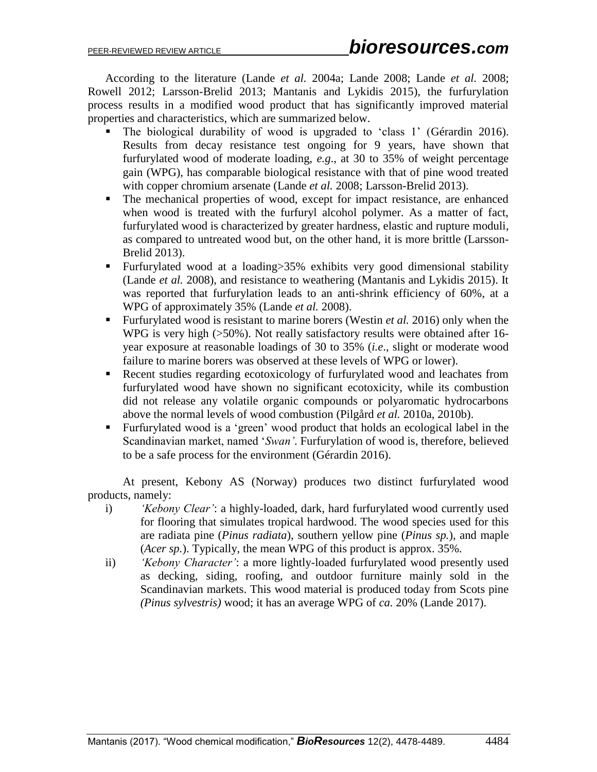According to the literature (Lande *et al.* 2004a; Lande 2008; Lande *et al.* 2008; Rowell 2012; Larsson-Brelid 2013; Mantanis and Lykidis 2015), the furfurylation process results in a modified wood product that has significantly improved material properties and characteristics, which are summarized below.

- The biological durability of wood is upgraded to 'class 1' (Gérardin 2016). Results from decay resistance test ongoing for 9 years, have shown that furfurylated wood of moderate loading, *e.g*., at 30 to 35% of weight percentage gain (WPG), has comparable biological resistance with that of pine wood treated with copper chromium arsenate (Lande *et al.* 2008; Larsson-Brelid 2013).
- The mechanical properties of wood, except for impact resistance, are enhanced when wood is treated with the furfuryl alcohol polymer. As a matter of fact, furfurylated wood is characterized by greater hardness, elastic and rupture moduli, as compared to untreated wood but, on the other hand, it is more brittle (Larsson-Brelid 2013).
- Furfurylated wood at a loading>35% exhibits very good dimensional stability (Lande *et al.* 2008), and resistance to weathering (Mantanis and Lykidis 2015). It was reported that furfurylation leads to an anti-shrink efficiency of 60%, at a WPG of approximately 35% (Lande *et al.* 2008).
- Furfurylated wood is resistant to marine borers (Westin *et al.* 2016) only when the WPG is very high ( $>50\%$ ). Not really satisfactory results were obtained after 16year exposure at reasonable loadings of 30 to 35% (*i.e*., slight or moderate wood failure to marine borers was observed at these levels of WPG or lower).
- Recent studies regarding ecotoxicology of furfurylated wood and leachates from furfurylated wood have shown no significant ecotoxicity, while its combustion did not release any volatile organic compounds or polyaromatic hydrocarbons above the normal levels of wood combustion (Pilgård *et al.* 2010a, 2010b).
- Furfurylated wood is a 'green' wood product that holds an ecological label in the Scandinavian market, named '*Swan'*. Furfurylation of wood is, therefore, believed to be a safe process for the environment (Gérardin 2016).

At present, Kebony AS (Norway) produces two distinct furfurylated wood products, namely:

- i) *'Kebony Clear'*: a highly-loaded, dark, hard furfurylated wood currently used for flooring that simulates tropical hardwood. The wood species used for this are radiata pine (*Pinus radiata*), southern yellow pine (*Pinus sp.*), and maple (*Acer sp.*). Typically, the mean WPG of this product is approx. 35%.
- ii) *'Kebony Character'*: a more lightly-loaded furfurylated wood presently used as decking, siding, roofing, and outdoor furniture mainly sold in the Scandinavian markets. This wood material is produced today from Scots pine *(Pinus sylvestris)* wood; it has an average WPG of *ca.* 20% (Lande 2017).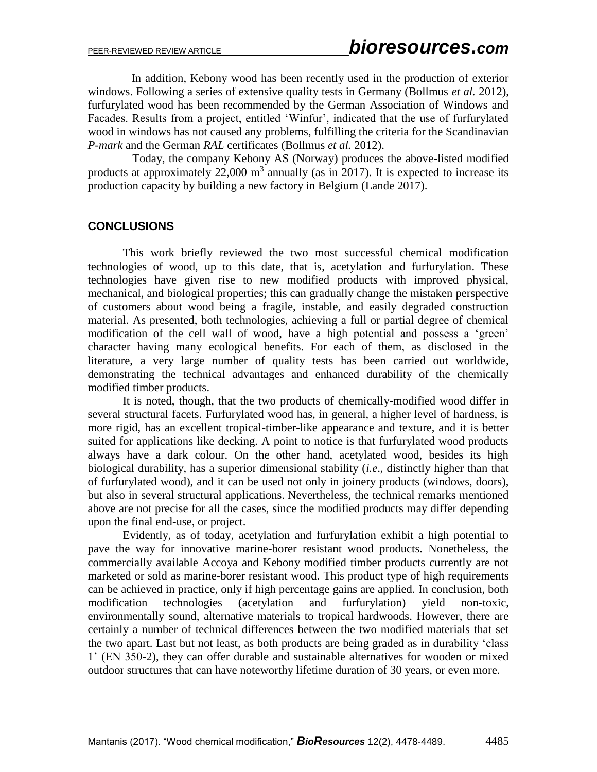In addition, Kebony wood has been recently used in the production of exterior windows. Following a series of extensive quality tests in Germany (Bollmus *et al.* 2012), furfurylated wood has been recommended by the German Association of Windows and Facades. Results from a project, entitled 'Winfur', indicated that the use of furfurylated wood in windows has not caused any problems, fulfilling the criteria for the Scandinavian *P-mark* and the German *RAL* certificates (Bollmus *et al.* 2012).

Today, the company Kebony AS (Norway) produces the above-listed modified products at approximately 22,000  $m<sup>3</sup>$  annually (as in 2017). It is expected to increase its production capacity by building a new factory in Belgium (Lande 2017).

# **CONCLUSIONS**

This work briefly reviewed the two most successful chemical modification technologies of wood, up to this date, that is, acetylation and furfurylation. These technologies have given rise to new modified products with improved physical, mechanical, and biological properties; this can gradually change the mistaken perspective of customers about wood being a fragile, instable, and easily degraded construction material. As presented, both technologies, achieving a full or partial degree of chemical modification of the cell wall of wood, have a high potential and possess a 'green' character having many ecological benefits. For each of them, as disclosed in the literature, a very large number of quality tests has been carried out worldwide, demonstrating the technical advantages and enhanced durability of the chemically modified timber products.

It is noted, though, that the two products of chemically-modified wood differ in several structural facets. Furfurylated wood has, in general, a higher level of hardness, is more rigid, has an excellent tropical-timber-like appearance and texture, and it is better suited for applications like decking. A point to notice is that furfurylated wood products always have a dark colour. On the other hand, acetylated wood, besides its high biological durability, has a superior dimensional stability (*i.e*., distinctly higher than that of furfurylated wood), and it can be used not only in joinery products (windows, doors), but also in several structural applications. Nevertheless, the technical remarks mentioned above are not precise for all the cases, since the modified products may differ depending upon the final end-use, or project.

Evidently, as of today, acetylation and furfurylation exhibit a high potential to pave the way for innovative marine-borer resistant wood products. Nonetheless, the commercially available Accoya and Kebony modified timber products currently are not marketed or sold as marine-borer resistant wood. This product type of high requirements can be achieved in practice, only if high percentage gains are applied. In conclusion, both modification technologies (acetylation and furfurylation) yield non-toxic, environmentally sound, alternative materials to tropical hardwoods. However, there are certainly a number of technical differences between the two modified materials that set the two apart. Last but not least, as both products are being graded as in durability 'class 1' (EN 350-2), they can offer durable and sustainable alternatives for wooden or mixed outdoor structures that can have noteworthy lifetime duration of 30 years, or even more.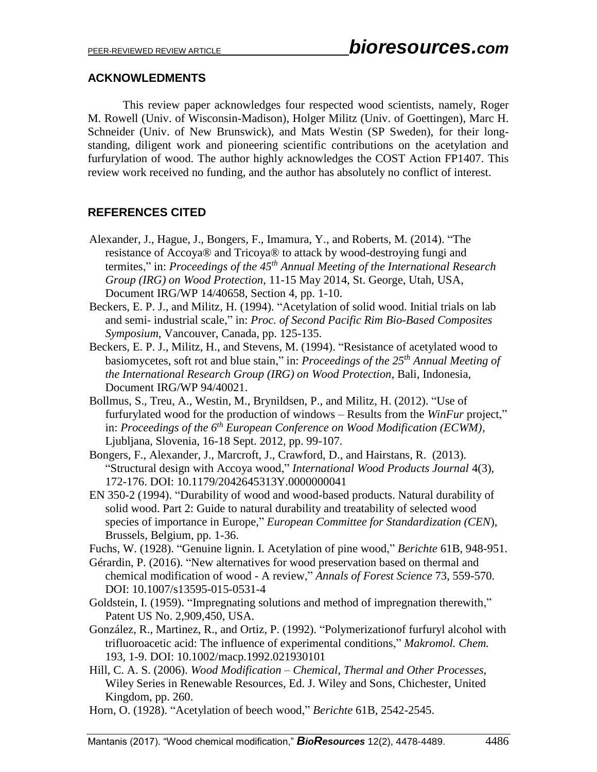### **ACKNOWLEDMENTS**

This review paper acknowledges four respected wood scientists, namely, Roger M. Rowell (Univ. of Wisconsin-Madison), Holger Militz (Univ. of Goettingen), Marc H. Schneider (Univ. of New Brunswick), and Mats Westin (SP Sweden), for their longstanding, diligent work and pioneering scientific contributions on the acetylation and furfurylation of wood. The author highly acknowledges the COST Action FP1407. This review work received no funding, and the author has absolutely no conflict of interest.

# **REFERENCES CITED**

- Alexander, J., Hague, J., Bongers, F., Imamura, Y., and Roberts, M. (2014). "The resistance of Accoya® and Tricoya® to attack by wood-destroying fungi and termites," in: *Proceedings of the 45th Annual Meeting of the International Research Group (IRG) on Wood Protection*, 11-15 May 2014, St. George, Utah, USA, Document IRG/WP 14/40658, Section 4, pp. 1-10.
- Beckers, E. P. J., and Militz, H. (1994). "Acetylation of solid wood. Initial trials on lab and semi- industrial scale," in: *Proc. of Second Pacific Rim Bio-Based Composites Symposium*, Vancouver, Canada, pp. 125-135.
- Beckers, E. P. J., Militz, H., and Stevens, M. (1994). "Resistance of acetylated wood to basiomycetes, soft rot and blue stain," in: *Proceedings of the 25th Annual Meeting of the International Research Group (IRG) on Wood Protection*, Bali, Indonesia, Document IRG/WP 94/40021.
- Bollmus, S., Treu, A., Westin, M., Brynildsen, P., and Militz, H. (2012). "Use of furfurylated wood for the production of windows – Results from the *WinFur* project," in: *Proceedings of the 6th European Conference on Wood Modification (ECWM)*, Ljubljana, Slovenia, 16-18 Sept. 2012, pp. 99-107.
- Bongers, F., Alexander, J., Marcroft, J., Crawford, D., and Hairstans, R. (2013). "Structural design with Accoya wood," *International Wood Products Journal* 4(3), 172-176. [DOI: 10.1179/2042645313Y.0000000041](http://dx.doi.org/10.1179/2042645313Y.0000000041)
- EN 350-2 (1994). "Durability of wood and wood-based products. Natural durability of solid wood. Part 2: Guide to natural durability and treatability of selected wood species of importance in Europe," *European Committee for Standardization (CEN*), Brussels, Belgium, pp. 1-36.
- Fuchs, W. (1928). "Genuine lignin. I. Acetylation of pine wood," *Berichte* 61B, 948-951.
- Gérardin, P. (2016). "New alternatives for wood preservation based on thermal and chemical modification of wood - A review," *Annals of Forest Science* 73, 559-570. [DOI: 10.1007/s13595-015-0531-4](http://dx.doi.org/10.1007/s13595-015-0531-4)
- Goldstein, I. (1959). "Impregnating solutions and method of impregnation therewith," Patent US No. 2,909,450, USA.
- González, R., Martinez, R., and Ortiz, P. (1992). "Polymerizationof furfuryl alcohol with trifluoroacetic acid: The influence of experimental conditions," *Makromol. Chem.* 193, 1-9. [DOI: 10.1002/macp.1992.021930101](http://dx.doi.org/10.1002/macp.1992.021930101)
- Hill, C. A. S. (2006). *Wood Modification – Chemical, Thermal and Other Processes*, Wiley Series in Renewable Resources, Ed. J. Wiley and Sons, Chichester, United Kingdom, pp. 260.
- Horn, O. (1928). "Acetylation of beech wood," *Berichte* 61B, 2542-2545.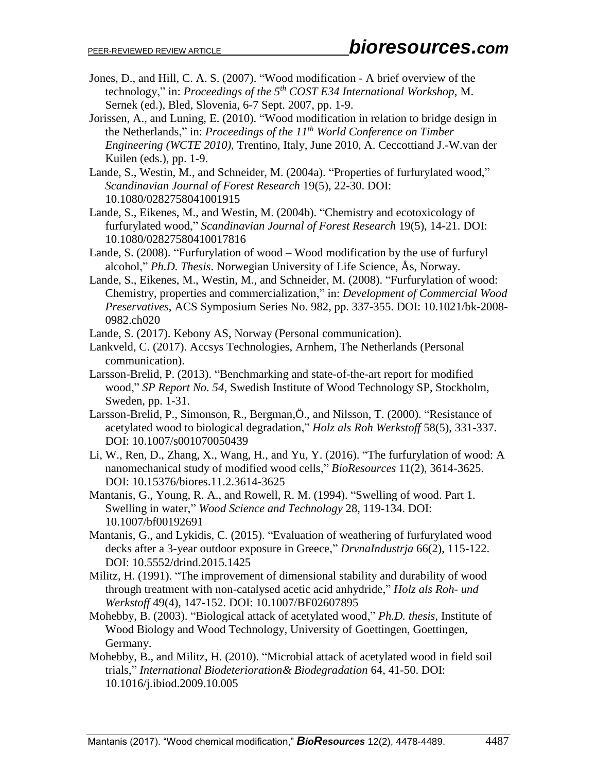- Jones, D., and Hill, C. A. S. (2007). "Wood modification A brief overview of the technology," in: *Proceedings of the 5th COST E34 International Workshop*, M. Sernek (ed.), Bled, Slovenia, 6-7 Sept. 2007, pp. 1-9.
- Jorissen, A., and Luning, E. (2010). "Wood modification in relation to bridge design in the Netherlands," in: *Proceedings of the 11th World Conference on Timber Engineering (WCTE 2010)*, Trentino, Italy, June 2010, A. Ceccottiand J.-W.van der Kuilen (eds.), pp. 1-9.
- Lande, S., Westin, M., and Schneider, M. (2004a). "Properties of furfurylated wood," *Scandinavian Journal of Forest Research* 19(5), 22-30. [DOI:](http://dx.doi.org/10.1080/0282758041001915)  [10.1080/0282758041001915](http://dx.doi.org/10.1080/0282758041001915)
- Lande, S., Eikenes, M., and Westin, M. (2004b). "Chemistry and ecotoxicology of furfurylated wood," *Scandinavian Journal of Forest Research* 19(5), 14-21. [DOI:](http://dx.doi.org/10.1080/02827580410017816)  [10.1080/02827580410017816](http://dx.doi.org/10.1080/02827580410017816)
- Lande, S. (2008). "Furfurylation of wood Wood modification by the use of furfuryl alcohol," *Ph.D. Thesis*. Norwegian University of Life Science, Ås, Norway.
- Lande, S., Eikenes, M., Westin, M., and Schneider, M. (2008). "Furfurylation of wood: Chemistry, properties and commercialization," in: *Development of Commercial Wood Preservatives*, ACS Symposium Series No. 982, pp. 337-355. [DOI: 10.1021/bk-2008-](http://dx.doi.org/10.1021/bk-2008-0982.ch020) [0982.ch020](http://dx.doi.org/10.1021/bk-2008-0982.ch020)
- Lande, S. (2017). Kebony AS, Norway (Personal communication).
- Lankveld, C. (2017). Accsys Technologies, Arnhem, The Netherlands (Personal communication).
- Larsson-Brelid, P. (2013). "Benchmarking and state-of-the-art report for modified wood," *SP Report No. 54*, Swedish Institute of Wood Technology SP, Stockholm, Sweden, pp. 1-31.
- Larsson-Brelid, P., Simonson, R., Bergman,Ö., and Nilsson, T. (2000). "Resistance of acetylated wood to biological degradation," *Holz als Roh Werkstoff* 58(5), 331-337. [DOI: 10.1007/s001070050439](http://dx.doi.org/10.1007/s001070050439)
- Li, W., Ren, D., Zhang, X., Wang, H., and Yu, Y. (2016). "The furfurylation of wood: A nanomechanical study of modified wood cells," *BioResources* 11(2), 3614-3625. [DOI: 10.15376/biores.11.2.3614-3625](http://dx.doi.org/10.15376/biores.11.2.3614-3625)
- Mantanis, G., Young, R. A., and Rowell, R. M. (1994). "Swelling of wood. Part 1. Swelling in water," *Wood Science and Technology* 28, 119-134. [DOI:](http://dx.doi.org/10.1007/bf00192691)  [10.1007/bf00192691](http://dx.doi.org/10.1007/bf00192691)
- Mantanis, G., and Lykidis, C. (2015). "Evaluation of weathering of furfurylated wood decks after a 3-year outdoor exposure in Greece," *DrvnaIndustrja* 66(2), 115-122. [DOI: 10.5552/drind.2015.1425](http://dx.doi.org/10.5552/drind.2015.1425)
- Militz, H. (1991). "The improvement of dimensional stability and durability of wood through treatment with non-catalysed acetic acid anhydride," *Holz als Roh- und Werkstoff* 49(4), 147-152. [DOI: 10.1007/BF02607895](http://dx.doi.org/10.1007/BF02607895)
- Mohebby, B. (2003). "Biological attack of acetylated wood," *Ph.D. thesis*, Institute of Wood Biology and Wood Technology, University of Goettingen, Goettingen, Germany.
- Mohebby, B., and Militz, H. (2010). "Microbial attack of acetylated wood in field soil trials," *International Biodeterioration& Biodegradation* 64, 41-50. [DOI:](http://dx.doi.org/10.1016/j.ibiod.2009.10.005)  [10.1016/j.ibiod.2009.10.005](http://dx.doi.org/10.1016/j.ibiod.2009.10.005)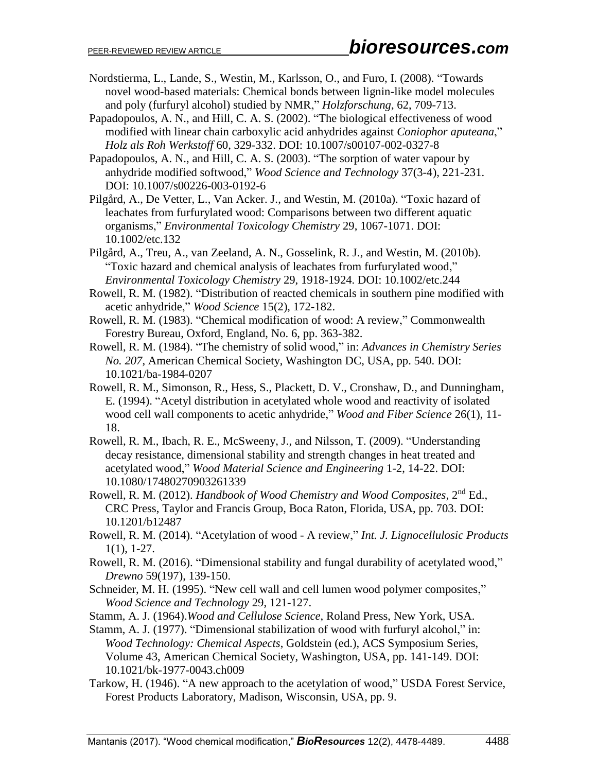- Nordstierma, L., Lande, S., Westin, M., Karlsson, O., and Furo, I. (2008). "Towards novel wood-based materials: Chemical bonds between lignin-like model molecules and poly (furfuryl alcohol) studied by NMR," *Holzforschung*, 62, 709-713.
- Papadopoulos, A. N., and Hill, C. A. S. (2002). "The biological effectiveness of wood modified with linear chain carboxylic acid anhydrides against *Coniophor aputeana*," *Holz als Roh Werkstoff* 60, 329-332. [DOI: 10.1007/s00107-002-0327-8](http://dx.doi.org/10.1007/s00107-002-0327-8)
- Papadopoulos, A. N., and Hill, C. A. S. (2003). "The sorption of water vapour by anhydride modified softwood," *Wood Science and Technology* 37(3-4), 221-231. [DOI: 10.1007/s00226-003-0192-6](http://dx.doi.org/10.1007/s00226-003-0192-6)
- Pilgård, A., De Vetter, L., Van Acker. J., and Westin, M. (2010a). "Toxic hazard of leachates from furfurylated wood: Comparisons between two different aquatic organisms," *Environmental Toxicology Chemistry* 29, 1067-1071. [DOI:](http://dx.doi.org/10.1002/etc.132)  [10.1002/etc.132](http://dx.doi.org/10.1002/etc.132)
- Pilgård, A., Treu, A., van Zeeland, A. N., Gosselink, R. J., and Westin, M. (2010b). "Toxic hazard and chemical analysis of leachates from furfurylated wood," *Environmental Toxicology Chemistry* 29, 1918-1924. [DOI: 10.1002/etc.244](http://dx.doi.org/10.1002/etc.244)
- Rowell, R. M. (1982). "Distribution of reacted chemicals in southern pine modified with acetic anhydride," *Wood Science* 15(2), 172-182.
- Rowell, R. M. (1983). "Chemical modification of wood: A review," Commonwealth Forestry Bureau, Oxford, England, No. 6, pp. 363-382.
- Rowell, R. M. (1984). "The chemistry of solid wood," in: *Advances in Chemistry Series No. 207*, American Chemical Society, Washington DC, USA, pp. 540. [DOI:](http://dx.doi.org/10.1021/ba-1984-0207)  [10.1021/ba-1984-0207](http://dx.doi.org/10.1021/ba-1984-0207)
- Rowell, R. M., Simonson, R., Hess, S., Plackett, D. V., Cronshaw, D., and Dunningham, E. (1994). "Acetyl distribution in acetylated whole wood and reactivity of isolated wood cell wall components to acetic anhydride," *Wood and Fiber Science* 26(1), 11- 18.
- Rowell, R. M., Ibach, R. E., McSweeny, J., and Nilsson, T. (2009). "Understanding decay resistance, dimensional stability and strength changes in heat treated and acetylated wood," *Wood Material Science and Engineering* 1-2, 14-22. [DOI:](http://dx.doi.org/10.1080/17480270903261339)  [10.1080/17480270903261339](http://dx.doi.org/10.1080/17480270903261339)
- Rowell, R. M. (2012). *Handbook of Wood Chemistry and Wood Composites*, 2<sup>nd</sup> Ed., CRC Press, Taylor and Francis Group, Boca Raton, Florida, USA, pp. 703. [DOI:](http://dx.doi.org/10.1201/b12487)  [10.1201/b12487](http://dx.doi.org/10.1201/b12487)
- Rowell, R. M. (2014). "Acetylation of wood A review," *Int. J. Lignocellulosic Products* 1(1), 1-27.
- Rowell, R. M. (2016). "Dimensional stability and fungal durability of acetylated wood," *Drewno* 59(197), 139-150.
- Schneider, M. H. (1995). "New cell wall and cell lumen wood polymer composites," *Wood Science and Technology* 29, 121-127.
- Stamm, A. J. (1964).*Wood and Cellulose Science*, Roland Press, New York, USA.
- Stamm, A. J. (1977). "Dimensional stabilization of wood with furfuryl alcohol," in: *Wood Technology: Chemical Aspects*, Goldstein (ed.), ACS Symposium Series, Volume 43, American Chemical Society, Washington, USA, pp. 141-149. [DOI:](http://dx.doi.org/10.1021/bk-1977-0043.ch009)  [10.1021/bk-1977-0043.ch009](http://dx.doi.org/10.1021/bk-1977-0043.ch009)
- Tarkow, H. (1946). "A new approach to the acetylation of wood," USDA Forest Service, Forest Products Laboratory, Madison, Wisconsin, USA, pp. 9.